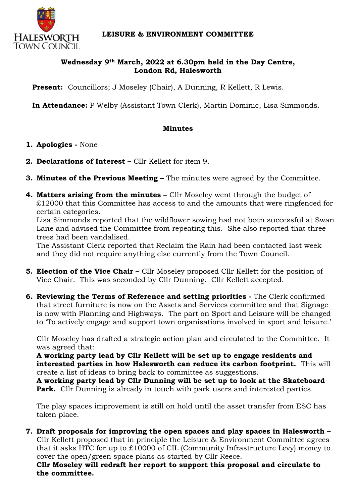

## **Wednesday 9th March, 2022 at 6.30pm held in the Day Centre, London Rd, Halesworth**

Present: Councillors; J Moseley (Chair), A Dunning, R Kellett, R Lewis.

**In Attendance:** P Welby (Assistant Town Clerk), Martin Dominic, Lisa Simmonds.

## **Minutes**

- **1. Apologies -** None
- **2. Declarations of Interest –** Cllr Kellett for item 9.
- **3. Minutes of the Previous Meeting –** The minutes were agreed by the Committee.
- **4. Matters arising from the minutes –** Cllr Moseley went through the budget of £12000 that this Committee has access to and the amounts that were ringfenced for certain categories.

Lisa Simmonds reported that the wildflower sowing had not been successful at Swan Lane and advised the Committee from repeating this. She also reported that three trees had been vandalised.

The Assistant Clerk reported that Reclaim the Rain had been contacted last week and they did not require anything else currently from the Town Council.

- **5. Election of the Vice Chair –** Cllr Moseley proposed Cllr Kellett for the position of Vice Chair. This was seconded by Cllr Dunning. Cllr Kellett accepted.
- **6. Reviewing the Terms of Reference and setting priorities -** The Clerk confirmed that street furniture is now on the Assets and Services committee and that Signage is now with Planning and Highways. The part on Sport and Leisure will be changed to 'To actively engage and support town organisations involved in sport and leisure.'

Cllr Moseley has drafted a strategic action plan and circulated to the Committee. It was agreed that:

**A working party lead by Cllr Kellett will be set up to engage residents and interested parties in how Halesworth can reduce its carbon footprint.** This will create a list of ideas to bring back to committee as suggestions.

**A working party lead by Cllr Dunning will be set up to look at the Skateboard Park.** Cllr Dunning is already in touch with park users and interested parties.

The play spaces improvement is still on hold until the asset transfer from ESC has taken place.

**7. Draft proposals for improving the open spaces and play spaces in Halesworth –** Cllr Kellett proposed that in principle the Leisure & Environment Committee agrees that it asks HTC for up to £10000 of CIL (Community Infrastructure Levy) money to cover the open/green space plans as started by Cllr Reece.

**Cllr Moseley will redraft her report to support this proposal and circulate to the committee.**